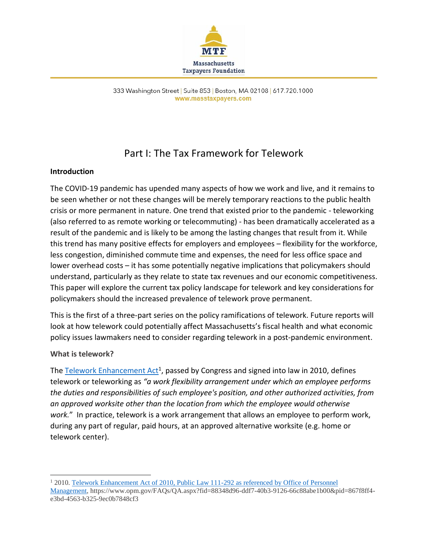

333 Washington Street | Suite 853 | Boston, MA 02108 | 617.720.1000 www.masstaxpayers.com

# Part I: The Tax Framework for Telework

#### **Introduction**

The COVID-19 pandemic has upended many aspects of how we work and live, and it remains to be seen whether or not these changes will be merely temporary reactions to the public health crisis or more permanent in nature. One trend that existed prior to the pandemic - teleworking (also referred to as remote working or telecommuting) - has been dramatically accelerated as a result of the pandemic and is likely to be among the lasting changes that result from it. While this trend has many positive effects for employers and employees – flexibility for the workforce, less congestion, diminished commute time and expenses, the need for less office space and lower overhead costs – it has some potentially negative implications that policymakers should understand, particularly as they relate to state tax revenues and our economic competitiveness. This paper will explore the current tax policy landscape for telework and key considerations for policymakers should the increased prevalence of telework prove permanent.

This is the first of a three-part series on the policy ramifications of telework. Future reports will look at how telework could potentially affect Massachusetts's fiscal health and what economic policy issues lawmakers need to consider regarding telework in a post-pandemic environment.

#### **What is telework?**

The **Telework Enhancement Act<sup>1</sup>, passed by Congress and signed into law in 2010, defines** telework or teleworking as *"a work flexibility arrangement under which an employee performs the duties and responsibilities of such employee's position, and other authorized activities, from an approved worksite other than the location from which the employee would otherwise work.*" In practice, telework is a work arrangement that allows an employee to perform work, during any part of regular, paid hours, at an approved alternative worksite (e.g. home or telework center).

 $\overline{\phantom{a}}$ <sup>1</sup> 2010[. Telework Enhancement Act of 2010, Public Law 111-292 as referenced by Office of Personnel](https://www.opm.gov/FAQs/QA.aspx?fid=88348d96-ddf7-40b3-9126-66c88abe1b00&pid=867f8ff4-e3bd-4563-b325-9ec0b7848cf3) 

[Management,](https://www.opm.gov/FAQs/QA.aspx?fid=88348d96-ddf7-40b3-9126-66c88abe1b00&pid=867f8ff4-e3bd-4563-b325-9ec0b7848cf3) https://www.opm.gov/FAQs/QA.aspx?fid=88348d96-ddf7-40b3-9126-66c88abe1b00&pid=867f8ff4 e3bd-4563-b325-9ec0b7848cf3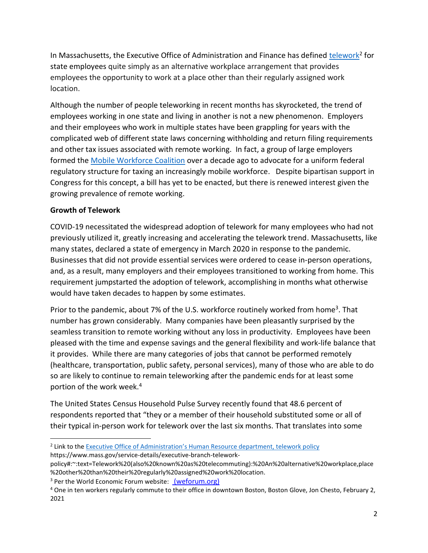In Massachusetts, the Executive Office of Administration and Finance has defined [telework](https://www.mass.gov/service-details/executive-branch-telework-policy#:~:text=Telework%20(also%20known%20as%20telecommuting):%20An%20alternative%20workplace,place%20other%20than%20their%20regularly%20assigned%20work%20location.)<sup>2</sup> for state employees quite simply as an alternative workplace arrangement that provides employees the opportunity to work at a place other than their regularly assigned work location.

Although the number of people teleworking in recent months has skyrocketed, the trend of employees working in one state and living in another is not a new phenomenon. Employers and their employees who work in multiple states have been grappling for years with the complicated web of different state laws concerning withholding and return filing requirements and other tax issues associated with remote working. In fact, a group of large employers formed the [Mobile Workforce Coalition](https://www.mobileworkforcecoalition.org/) over a decade ago to advocate for a uniform federal regulatory structure for taxing an increasingly mobile workforce. Despite bipartisan support in Congress for this concept, a bill has yet to be enacted, but there is renewed interest given the growing prevalence of remote working.

## **Growth of Telework**

 $\overline{\phantom{a}}$ 

COVID-19 necessitated the widespread adoption of telework for many employees who had not previously utilized it, greatly increasing and accelerating the telework trend. Massachusetts, like many states, declared a state of emergency in March 2020 in response to the pandemic. Businesses that did not provide essential services were ordered to cease in-person operations, and, as a result, many employers and their employees transitioned to working from home. This requirement jumpstarted the adoption of telework, accomplishing in months what otherwise would have taken decades to happen by some estimates.

Prior to the pandemic, about 7% of the U.S. workforce routinely worked from home<sup>3</sup>. That number has grown considerably. Many companies have been pleasantly surprised by the seamless transition to remote working without any loss in productivity. Employees have been pleased with the time and expense savings and the general flexibility and work-life balance that it provides. While there are many categories of jobs that cannot be performed remotely (healthcare, transportation, public safety, personal services), many of those who are able to do so are likely to continue to remain teleworking after the pandemic ends for at least some portion of the work week. 4

The United States Census Household Pulse Survey recently found that 48.6 percent of respondents reported that "they or a member of their household substituted some or all of their typical in-person work for telework over the last six months. That translates into some

https://www.mass.gov/service-details/executive-branch-telework-

<sup>&</sup>lt;sup>2</sup> Link to the Executive [Office of Administration's Human Resource department, telework policy](https://www.mass.gov/service-details/executive-branch-telework-policy#:~:text=Telework%20(also%20known%20as%20telecommuting):%20An%20alternative%20workplace,place%20other%20than%20their%20regularly%20assigned%20work%20location.)

policy#:~:text=Telework%20(also%20known%20as%20telecommuting):%20An%20alternative%20workplace,place %20other%20than%20their%20regularly%20assigned%20work%20location.

<sup>&</sup>lt;sup>3</sup> Per the World Economic Forum website: [\(weforum.org\)](https://www.weforum.org/agenda/2020/03/working-from-home-coronavirus-workers-future-of-work/)

<sup>4</sup> One in ten workers regularly commute to their office in downtown Boston, Boston Glove, Jon Chesto, February 2, 2021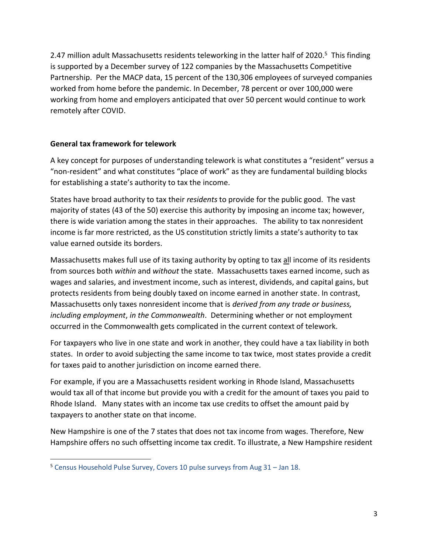2.47 million adult Massachusetts residents teleworking in the latter half of 2020.<sup>5</sup> This finding is supported by a December survey of 122 companies by the Massachusetts Competitive Partnership. Per the MACP data, 15 percent of the 130,306 employees of surveyed companies worked from home before the pandemic. In December, 78 percent or over 100,000 were working from home and employers anticipated that over 50 percent would continue to work remotely after COVID.

## **General tax framework for telework**

 $\overline{\phantom{a}}$ 

A key concept for purposes of understanding telework is what constitutes a "resident" versus a "non-resident" and what constitutes "place of work" as they are fundamental building blocks for establishing a state's authority to tax the income.

States have broad authority to tax their *residents* to provide for the public good. The vast majority of states (43 of the 50) exercise this authority by imposing an income tax; however, there is wide variation among the states in their approaches. The ability to tax nonresident income is far more restricted, as the US constitution strictly limits a state's authority to tax value earned outside its borders.

Massachusetts makes full use of its taxing authority by opting to tax all income of its residents from sources both *within* and *without* the state. Massachusetts taxes earned income, such as wages and salaries, and investment income, such as interest, dividends, and capital gains, but protects residents from being doubly taxed on income earned in another state. In contrast, Massachusetts only taxes nonresident income that is *derived from any trade or business, including employment*, *in the Commonwealth*. Determining whether or not employment occurred in the Commonwealth gets complicated in the current context of telework.

For taxpayers who live in one state and work in another, they could have a tax liability in both states. In order to avoid subjecting the same income to tax twice, most states provide a credit for taxes paid to another jurisdiction on income earned there.

For example, if you are a Massachusetts resident working in Rhode Island, Massachusetts would tax all of that income but provide you with a credit for the amount of taxes you paid to Rhode Island. Many states with an income tax use credits to offset the amount paid by taxpayers to another state on that income.

New Hampshire is one of the 7 states that does not tax income from wages. Therefore, New Hampshire offers no such offsetting income tax credit. To illustrate, a New Hampshire resident

<sup>5</sup> Census Household Pulse Survey, Covers 10 pulse surveys from Aug 31 – Jan 18.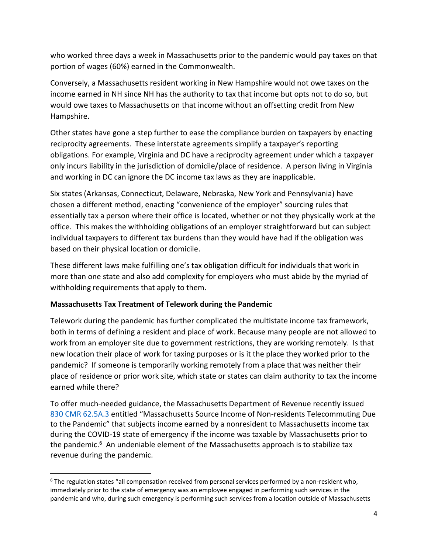who worked three days a week in Massachusetts prior to the pandemic would pay taxes on that portion of wages (60%) earned in the Commonwealth.

Conversely, a Massachusetts resident working in New Hampshire would not owe taxes on the income earned in NH since NH has the authority to tax that income but opts not to do so, but would owe taxes to Massachusetts on that income without an offsetting credit from New Hampshire.

Other states have gone a step further to ease the compliance burden on taxpayers by enacting reciprocity agreements. These interstate agreements simplify a taxpayer's reporting obligations. For example, Virginia and DC have a reciprocity agreement under which a taxpayer only incurs liability in the jurisdiction of domicile/place of residence. A person living in Virginia and working in DC can ignore the DC income tax laws as they are inapplicable.

Six states (Arkansas, Connecticut, Delaware, Nebraska, New York and Pennsylvania) have chosen a different method, enacting "convenience of the employer" sourcing rules that essentially tax a person where their office is located, whether or not they physically work at the office. This makes the withholding obligations of an employer straightforward but can subject individual taxpayers to different tax burdens than they would have had if the obligation was based on their physical location or domicile.

These different laws make fulfilling one's tax obligation difficult for individuals that work in more than one state and also add complexity for employers who must abide by the myriad of withholding requirements that apply to them.

## **Massachusetts Tax Treatment of Telework during the Pandemic**

 $\overline{a}$ 

Telework during the pandemic has further complicated the multistate income tax framework, both in terms of defining a resident and place of work. Because many people are not allowed to work from an employer site due to government restrictions, they are working remotely. Is that new location their place of work for taxing purposes or is it the place they worked prior to the pandemic? If someone is temporarily working remotely from a place that was neither their place of residence or prior work site, which state or states can claim authority to tax the income earned while there?

To offer much-needed guidance, the Massachusetts Department of Revenue recently issued [830 CMR 62.5A.3](https://www.mass.gov/regulations/830-CMR-625a3-massachusetts-source-income-of-non-residents-telecommuting-due-to-the-0) entitled "Massachusetts Source Income of Non-residents Telecommuting Due to the Pandemic" that subjects income earned by a nonresident to Massachusetts income tax during the COVID-19 state of emergency if the income was taxable by Massachusetts prior to the pandemic.<sup>6</sup> An undeniable element of the Massachusetts approach is to stabilize tax revenue during the pandemic.

 $6$  The regulation states "all compensation received from personal services performed by a non-resident who, immediately prior to the state of emergency was an employee engaged in performing such services in the pandemic and who, during such emergency is performing such services from a location outside of Massachusetts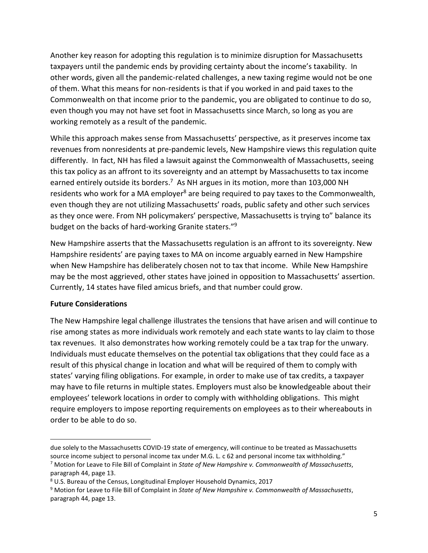Another key reason for adopting this regulation is to minimize disruption for Massachusetts taxpayers until the pandemic ends by providing certainty about the income's taxability. In other words, given all the pandemic-related challenges, a new taxing regime would not be one of them. What this means for non-residents is that if you worked in and paid taxes to the Commonwealth on that income prior to the pandemic, you are obligated to continue to do so, even though you may not have set foot in Massachusetts since March, so long as you are working remotely as a result of the pandemic.

While this approach makes sense from Massachusetts' perspective, as it preserves income tax revenues from nonresidents at pre-pandemic levels, New Hampshire views this regulation quite differently. In fact, NH has filed a lawsuit against the Commonwealth of Massachusetts, seeing this tax policy as an affront to its sovereignty and an attempt by Massachusetts to tax income earned entirely outside its borders.<sup>7</sup> As NH argues in its motion, more than 103,000 NH residents who work for a MA employer<sup>8</sup> are being required to pay taxes to the Commonwealth, even though they are not utilizing Massachusetts' roads, public safety and other such services as they once were. From NH policymakers' perspective, Massachusetts is trying to" balance its budget on the backs of hard-working Granite staters."<sup>9</sup>

New Hampshire asserts that the Massachusetts regulation is an affront to its sovereignty. New Hampshire residents' are paying taxes to MA on income arguably earned in New Hampshire when New Hampshire has deliberately chosen not to tax that income. While New Hampshire may be the most aggrieved, other states have joined in opposition to Massachusetts' assertion. Currently, 14 states have filed amicus briefs, and that number could grow.

## **Future Considerations**

 $\overline{\phantom{a}}$ 

The New Hampshire legal challenge illustrates the tensions that have arisen and will continue to rise among states as more individuals work remotely and each state wants to lay claim to those tax revenues. It also demonstrates how working remotely could be a tax trap for the unwary. Individuals must educate themselves on the potential tax obligations that they could face as a result of this physical change in location and what will be required of them to comply with states' varying filing obligations. For example, in order to make use of tax credits, a taxpayer may have to file returns in multiple states. Employers must also be knowledgeable about their employees' telework locations in order to comply with withholding obligations. This might require employers to impose reporting requirements on employees as to their whereabouts in order to be able to do so.

due solely to the Massachusetts COVID-19 state of emergency, will continue to be treated as Massachusetts source income subject to personal income tax under M.G. L. c 62 and personal income tax withholding."

<sup>7</sup> Motion for Leave to File Bill of Complaint in *State of New Hampshire v. Commonwealth of Massachusetts*, paragraph 44, page 13.

<sup>8</sup> U.S. Bureau of the Census, Longitudinal Employer Household Dynamics, 2017

<sup>9</sup> Motion for Leave to File Bill of Complaint in *State of New Hampshire v. Commonwealth of Massachusetts*, paragraph 44, page 13.